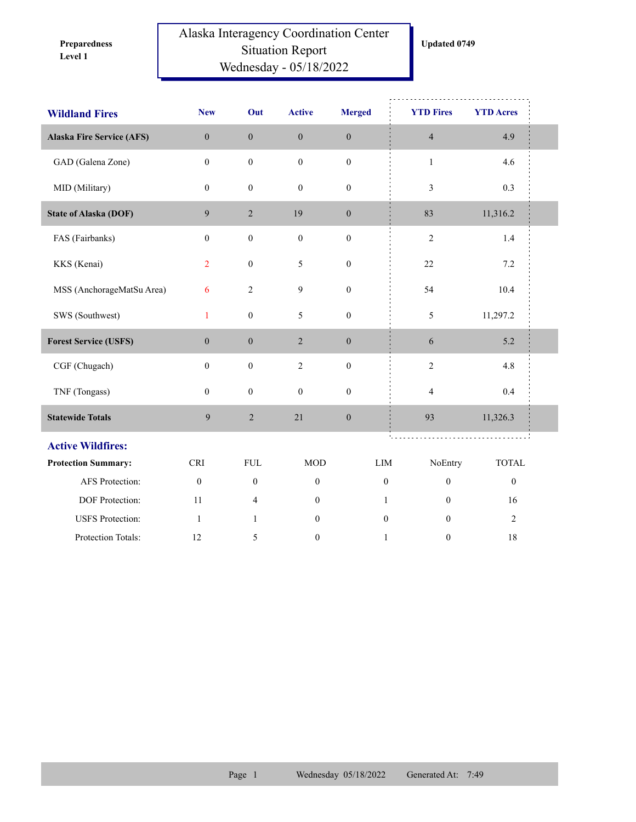**Level 1 Preparedness** 

## Alaska Interagency Coordination Center Situation Report Wednesday - 05/18/2022

| <b>Wildland Fires</b>            | <b>New</b>                  | Out              | <b>Active</b>    | <b>Merged</b>    | <b>YTD Fires</b>                 | <b>YTD Acres</b> |  |
|----------------------------------|-----------------------------|------------------|------------------|------------------|----------------------------------|------------------|--|
| <b>Alaska Fire Service (AFS)</b> | $\mathbf{0}$                | $\boldsymbol{0}$ | $\boldsymbol{0}$ | $\boldsymbol{0}$ | $\overline{4}$                   | 4.9              |  |
| GAD (Galena Zone)                | $\boldsymbol{0}$            | $\boldsymbol{0}$ | $\boldsymbol{0}$ | $\boldsymbol{0}$ | $\mathbf{1}$                     | 4.6              |  |
| MID (Military)                   | $\mathbf{0}$                | $\boldsymbol{0}$ | $\boldsymbol{0}$ | $\boldsymbol{0}$ | 3                                | 0.3              |  |
| <b>State of Alaska (DOF)</b>     | 9                           | $\overline{c}$   | 19               | $\boldsymbol{0}$ | 83                               | 11,316.2         |  |
| FAS (Fairbanks)                  | $\mathbf{0}$                | $\boldsymbol{0}$ | $\boldsymbol{0}$ | $\boldsymbol{0}$ | $\sqrt{2}$                       | 1.4              |  |
| KKS (Kenai)                      | $\overline{2}$              | $\boldsymbol{0}$ | 5                | $\boldsymbol{0}$ | 22                               | $7.2\,$          |  |
| MSS (AnchorageMatSu Area)        | 6                           | $\overline{c}$   | 9                | $\boldsymbol{0}$ | 54                               | 10.4             |  |
| SWS (Southwest)                  | $\mathbf{1}$                | $\boldsymbol{0}$ | 5                | $\boldsymbol{0}$ | 5                                | 11,297.2         |  |
| <b>Forest Service (USFS)</b>     | $\mathbf{0}$                | $\boldsymbol{0}$ | $\overline{2}$   | $\boldsymbol{0}$ | 6                                | 5.2              |  |
| CGF (Chugach)                    | $\boldsymbol{0}$            | $\boldsymbol{0}$ | $\overline{c}$   | $\boldsymbol{0}$ | $\sqrt{2}$                       | 4.8              |  |
| TNF (Tongass)                    | $\mathbf{0}$                | $\boldsymbol{0}$ | $\boldsymbol{0}$ | $\boldsymbol{0}$ | $\overline{\mathbf{4}}$          | 0.4              |  |
| <b>Statewide Totals</b>          | 9                           | $\sqrt{2}$       | 21               | $\boldsymbol{0}$ | 93                               | 11,326.3         |  |
| <b>Active Wildfires:</b>         |                             |                  |                  |                  |                                  |                  |  |
| <b>Protection Summary:</b>       | $\ensuremath{\mathsf{CRI}}$ | ${\rm FUL}$      | <b>MOD</b>       |                  | NoEntry<br>LIM                   | <b>TOTAL</b>     |  |
| AFS Protection:                  | $\mathbf{0}$                | $\boldsymbol{0}$ | $\mathbf{0}$     |                  | $\boldsymbol{0}$<br>$\mathbf{0}$ | $\boldsymbol{0}$ |  |
| <b>DOF</b> Protection:           | 11                          | $\overline{4}$   | $\mathbf{0}$     |                  | $\mathbf{0}$<br>$\mathbf{1}$     | 16               |  |
| <b>USFS</b> Protection:          | $\mathbf{1}$                | $\mathbf{1}$     | 0                |                  | $\mathbf{0}$<br>$\mathbf{0}$     | $\overline{2}$   |  |
| Protection Totals:               | 12                          | 5                | $\boldsymbol{0}$ |                  | $\mathbf{1}$<br>$\boldsymbol{0}$ | $18\,$           |  |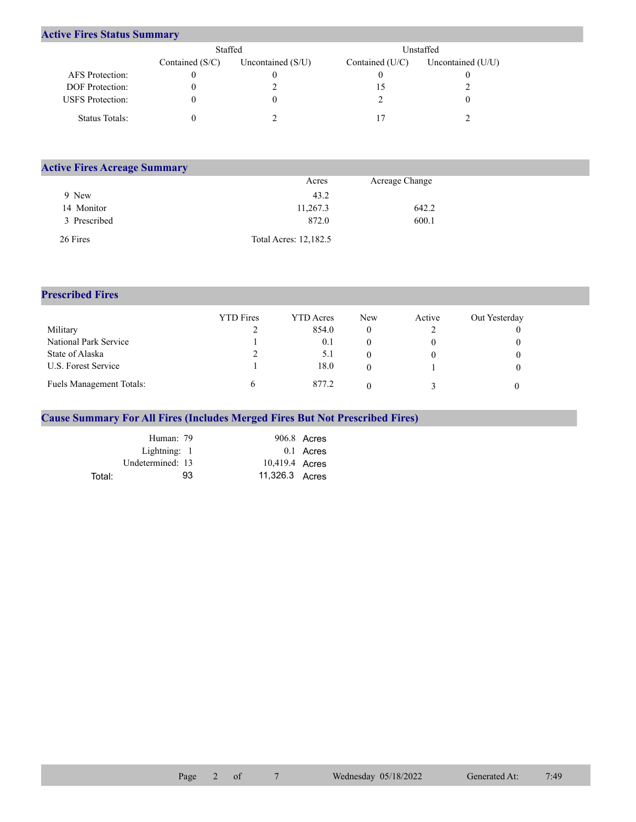## **Active Fires Status Summary**

|                         | Staffed           |                     | Unstaffed       |                   |  |  |
|-------------------------|-------------------|---------------------|-----------------|-------------------|--|--|
|                         | Contained $(S/C)$ | Uncontained $(S/U)$ | Contained (U/C) | Uncontained (U/U) |  |  |
| AFS Protection:         |                   |                     |                 |                   |  |  |
| <b>DOF</b> Protection:  |                   |                     |                 |                   |  |  |
| <b>USFS</b> Protection: |                   |                     |                 |                   |  |  |
| Status Totals:          |                   |                     |                 |                   |  |  |

| <b>Active Fires Acreage Summary</b> |                       |                |  |
|-------------------------------------|-----------------------|----------------|--|
|                                     | Acres                 | Acreage Change |  |
| 9 New                               | 43.2                  |                |  |
| 14 Monitor                          | 11,267.3              | 642.2          |  |
| 3 Prescribed                        | 872.0                 | 600.1          |  |
| 26 Fires                            | Total Acres: 12,182.5 |                |  |

## **Prescribed Fires**

|                                 | <b>YTD</b> Fires | <b>YTD</b> Acres | New | Active | Out Yesterday |
|---------------------------------|------------------|------------------|-----|--------|---------------|
| Military                        |                  | 854.0            |     |        |               |
| National Park Service           |                  | 0.1              |     |        |               |
| State of Alaska                 | ∠                | 5.1              |     |        |               |
| U.S. Forest Service             |                  | 18.0             |     |        |               |
| <b>Fuels Management Totals:</b> |                  | 877.2            |     |        |               |

## **Cause Summary For All Fires (Includes Merged Fires But Not Prescribed Fires)**

|        | Human: 79        |                | 906.8 Acres |
|--------|------------------|----------------|-------------|
|        | Lightning: $1$   |                | 0.1 Acres   |
|        | Undetermined: 13 | 10,419.4 Acres |             |
| Total: | 93               | 11,326.3 Acres |             |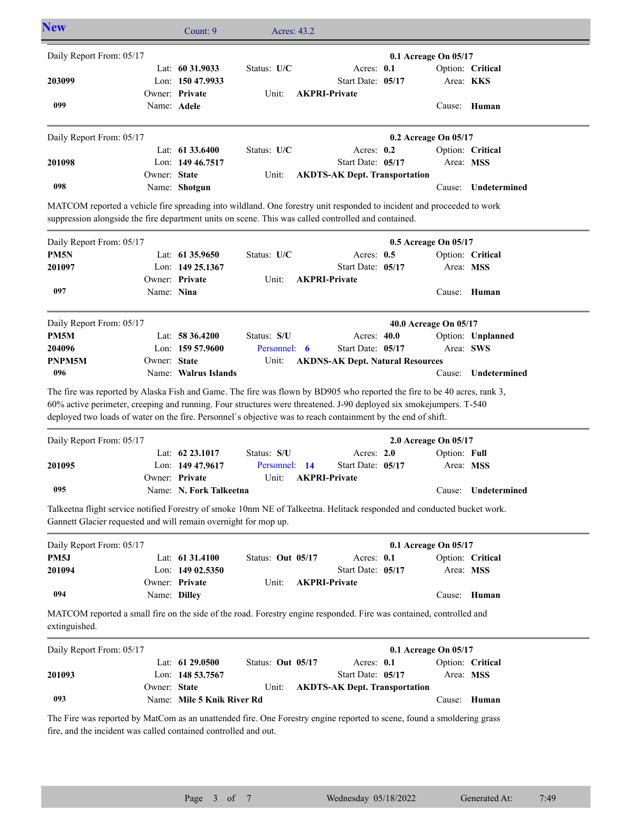| 0.1 Acreage On 05/17<br>0.2 Acreage On 05/17<br><b>AKDTS-AK Dept. Transportation</b><br>Cause:<br>MATCOM reported a vehicle fire spreading into wildland. One forestry unit responded to incident and proceeded to work<br>0.5 Acreage On 05/17 | Option: Critical<br>Area: KKS<br>Cause: Human<br>Option: Critical<br>Area: MSS<br>Undetermined<br>Option: Critical<br>Area: MSS                                                                                                                                                                                                   |
|-------------------------------------------------------------------------------------------------------------------------------------------------------------------------------------------------------------------------------------------------|-----------------------------------------------------------------------------------------------------------------------------------------------------------------------------------------------------------------------------------------------------------------------------------------------------------------------------------|
|                                                                                                                                                                                                                                                 |                                                                                                                                                                                                                                                                                                                                   |
|                                                                                                                                                                                                                                                 |                                                                                                                                                                                                                                                                                                                                   |
|                                                                                                                                                                                                                                                 |                                                                                                                                                                                                                                                                                                                                   |
|                                                                                                                                                                                                                                                 |                                                                                                                                                                                                                                                                                                                                   |
|                                                                                                                                                                                                                                                 |                                                                                                                                                                                                                                                                                                                                   |
|                                                                                                                                                                                                                                                 |                                                                                                                                                                                                                                                                                                                                   |
|                                                                                                                                                                                                                                                 |                                                                                                                                                                                                                                                                                                                                   |
|                                                                                                                                                                                                                                                 |                                                                                                                                                                                                                                                                                                                                   |
|                                                                                                                                                                                                                                                 |                                                                                                                                                                                                                                                                                                                                   |
|                                                                                                                                                                                                                                                 |                                                                                                                                                                                                                                                                                                                                   |
|                                                                                                                                                                                                                                                 |                                                                                                                                                                                                                                                                                                                                   |
|                                                                                                                                                                                                                                                 |                                                                                                                                                                                                                                                                                                                                   |
|                                                                                                                                                                                                                                                 |                                                                                                                                                                                                                                                                                                                                   |
|                                                                                                                                                                                                                                                 |                                                                                                                                                                                                                                                                                                                                   |
|                                                                                                                                                                                                                                                 |                                                                                                                                                                                                                                                                                                                                   |
|                                                                                                                                                                                                                                                 | Cause: Human                                                                                                                                                                                                                                                                                                                      |
|                                                                                                                                                                                                                                                 |                                                                                                                                                                                                                                                                                                                                   |
|                                                                                                                                                                                                                                                 | Option: Unplanned                                                                                                                                                                                                                                                                                                                 |
|                                                                                                                                                                                                                                                 | Area: SWS                                                                                                                                                                                                                                                                                                                         |
| <b>AKDNS-AK Dept. Natural Resources</b>                                                                                                                                                                                                         |                                                                                                                                                                                                                                                                                                                                   |
| Cause:                                                                                                                                                                                                                                          | Undetermined                                                                                                                                                                                                                                                                                                                      |
| 60% active perimeter, creeping and running. Four structures were threatened. J-90 deployed six smokejumpers. T-540<br>deployed two loads of water on the fire. Personnel's objective was to reach containment by the end of shift.              |                                                                                                                                                                                                                                                                                                                                   |
|                                                                                                                                                                                                                                                 |                                                                                                                                                                                                                                                                                                                                   |
|                                                                                                                                                                                                                                                 |                                                                                                                                                                                                                                                                                                                                   |
|                                                                                                                                                                                                                                                 |                                                                                                                                                                                                                                                                                                                                   |
|                                                                                                                                                                                                                                                 | Cause: Undetermined                                                                                                                                                                                                                                                                                                               |
|                                                                                                                                                                                                                                                 |                                                                                                                                                                                                                                                                                                                                   |
|                                                                                                                                                                                                                                                 |                                                                                                                                                                                                                                                                                                                                   |
| 0.1 Acreage On 05/17                                                                                                                                                                                                                            |                                                                                                                                                                                                                                                                                                                                   |
|                                                                                                                                                                                                                                                 | Option: Critical                                                                                                                                                                                                                                                                                                                  |
|                                                                                                                                                                                                                                                 |                                                                                                                                                                                                                                                                                                                                   |
| Area: MSS                                                                                                                                                                                                                                       |                                                                                                                                                                                                                                                                                                                                   |
|                                                                                                                                                                                                                                                 |                                                                                                                                                                                                                                                                                                                                   |
|                                                                                                                                                                                                                                                 | Cause: Human                                                                                                                                                                                                                                                                                                                      |
| MATCOM reported a small fire on the side of the road. Forestry engine responded. Fire was contained, controlled and                                                                                                                             |                                                                                                                                                                                                                                                                                                                                   |
| 0.1 Acreage On 05/17                                                                                                                                                                                                                            |                                                                                                                                                                                                                                                                                                                                   |
|                                                                                                                                                                                                                                                 | Option: Critical                                                                                                                                                                                                                                                                                                                  |
|                                                                                                                                                                                                                                                 | Area: MSS                                                                                                                                                                                                                                                                                                                         |
| <b>AKDTS-AK Dept. Transportation</b>                                                                                                                                                                                                            |                                                                                                                                                                                                                                                                                                                                   |
|                                                                                                                                                                                                                                                 | 40.0 Acreage On 05/17<br>The fire was reported by Alaska Fish and Game. The fire was flown by BD905 who reported the fire to be 40 acres, rank 3,<br>2.0 Acreage On 05/17<br>Option: Full<br>Area: MSS<br>Talkeetna flight service notified Forestry of smoke 10nm NE of Talkeetna. Helitack responded and conducted bucket work. |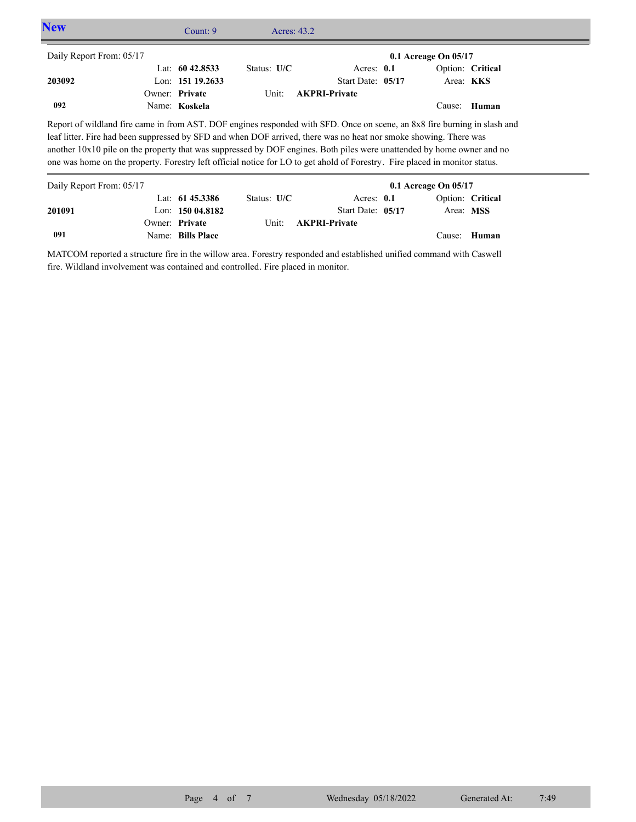| <b>New</b>               | Count: $9$                                                                                                                                                                                                                                                                                                                                                                                                                                                                                              | Acres: $43.2$ |                      |                          |       |  |
|--------------------------|---------------------------------------------------------------------------------------------------------------------------------------------------------------------------------------------------------------------------------------------------------------------------------------------------------------------------------------------------------------------------------------------------------------------------------------------------------------------------------------------------------|---------------|----------------------|--------------------------|-------|--|
| Daily Report From: 05/17 |                                                                                                                                                                                                                                                                                                                                                                                                                                                                                                         |               |                      | $0.1$ Acreage On $05/17$ |       |  |
|                          | Lat: $60\,42.8533$                                                                                                                                                                                                                                                                                                                                                                                                                                                                                      | Status: $U/C$ | Acres: $0.1$         | Option: Critical         |       |  |
| 203092                   | Lon: 151 19.2633                                                                                                                                                                                                                                                                                                                                                                                                                                                                                        |               | Start Date: 05/17    | Area: <b>KKS</b>         |       |  |
|                          | Owner: Private                                                                                                                                                                                                                                                                                                                                                                                                                                                                                          | Unit:         | <b>AKPRI-Private</b> |                          |       |  |
| 092                      | Name: Koskela                                                                                                                                                                                                                                                                                                                                                                                                                                                                                           |               |                      | Cause:                   | Human |  |
|                          | Report of wildland fire came in from AST. DOF engines responded with SFD. Once on scene, an 8x8 fire burning in slash and<br>leaf litter. Fire had been suppressed by SFD and when DOF arrived, there was no heat nor smoke showing. There was<br>another 10x10 pile on the property that was suppressed by DOF engines. Both piles were unattended by home owner and no<br>one was home on the property. Forestry left official notice for LO to get ahold of Forestry. Fire placed in monitor status. |               |                      |                          |       |  |
| Daily Report From: 05/17 |                                                                                                                                                                                                                                                                                                                                                                                                                                                                                                         |               |                      | $0.1$ Acreage On $05/17$ |       |  |
|                          | Lat: $6145.3386$                                                                                                                                                                                                                                                                                                                                                                                                                                                                                        | Status: $U/C$ | Acres: $0.1$         | Option: Critical         |       |  |
| 201091                   | Lon: $15004.8182$                                                                                                                                                                                                                                                                                                                                                                                                                                                                                       |               | Start Date: 05/17    | Area: MSS                |       |  |
|                          | Owner: Private                                                                                                                                                                                                                                                                                                                                                                                                                                                                                          | Unit:         | <b>AKPRI-Private</b> |                          |       |  |

MATCOM reported a structure fire in the willow area. Forestry responded and established unified command with Caswell fire. Wildland involvement was contained and controlled. Fire placed in monitor.

Name: **Bills Place**

**091**

Cause: **Human**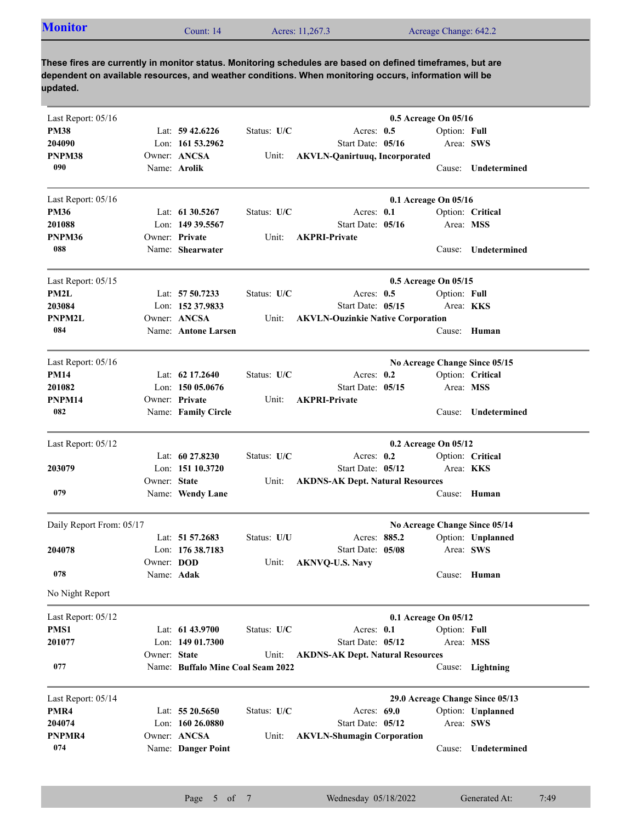| <b>Monitor</b><br>Count: 14 | Acres: 11,267.3 | Acreage Change: 642.2 |  |
|-----------------------------|-----------------|-----------------------|--|
|-----------------------------|-----------------|-----------------------|--|

**These fires are currently in monitor status. Monitoring schedules are based on defined timeframes, but are dependent on available resources, and weather conditions. When monitoring occurs, information will be updated.**

| Last Report: 05/16       |              |                                   |             | 0.5 Acreage On 05/16                     |                  |                                 |
|--------------------------|--------------|-----------------------------------|-------------|------------------------------------------|------------------|---------------------------------|
| <b>PM38</b>              |              | Lat: $59\,42.6226$                | Status: U/C | Acres: $0.5$                             | Option: Full     |                                 |
| 204090                   |              | Lon: 161 53.2962                  |             | Start Date: 05/16                        | Area: SWS        |                                 |
| PNPM38                   |              | Owner: ANCSA                      | Unit:       | <b>AKVLN-Qanirtuuq, Incorporated</b>     |                  |                                 |
| 090                      |              | Name: Arolik                      |             |                                          |                  | Cause: Undetermined             |
| Last Report: 05/16       |              |                                   |             | 0.1 Acreage On 05/16                     |                  |                                 |
| <b>PM36</b>              |              | Lat: $61\,30.5267$                | Status: U/C | Acres: 0.1                               |                  | Option: Critical                |
| 201088                   |              | Lon: 149 39.5567                  |             | Start Date: 05/16                        | Area: MSS        |                                 |
| PNPM36                   |              | Owner: Private                    | Unit:       | <b>AKPRI-Private</b>                     |                  |                                 |
| 088                      |              | Name: Shearwater                  |             |                                          | Cause:           | Undetermined                    |
| Last Report: 05/15       |              |                                   |             | 0.5 Acreage On 05/15                     |                  |                                 |
| PM2L                     |              | Lat: 57 50.7233                   | Status: U/C | Acres: $0.5$                             | Option: Full     |                                 |
| 203084                   |              | Lon: 152 37.9833                  |             | Start Date: 05/15                        | Area: <b>KKS</b> |                                 |
| <b>PNPM2L</b>            |              | Owner: ANCSA                      | Unit:       | <b>AKVLN-Ouzinkie Native Corporation</b> |                  |                                 |
| 084                      |              | Name: Antone Larsen               |             |                                          |                  | Cause: Human                    |
| Last Report: 05/16       |              |                                   |             |                                          |                  | No Acreage Change Since 05/15   |
| <b>PM14</b>              |              | Lat: 62 17.2640                   | Status: U/C | Acres: 0.2                               |                  | Option: Critical                |
| 201082                   |              | Lon: 150 05.0676                  |             | Start Date: 05/15                        | Area: MSS        |                                 |
| PNPM14                   |              | Owner: Private                    | Unit:       | <b>AKPRI-Private</b>                     |                  |                                 |
| 082                      |              | Name: Family Circle               |             |                                          | Cause:           | Undetermined                    |
| Last Report: 05/12       |              |                                   |             | 0.2 Acreage On 05/12                     |                  |                                 |
|                          |              | Lat: 60 27.8230                   | Status: U/C | Acres: $0.2$                             |                  | Option: Critical                |
| 203079                   |              | Lon: 151 10.3720                  |             | Start Date: 05/12                        | Area: KKS        |                                 |
|                          | Owner: State |                                   | Unit:       | <b>AKDNS-AK Dept. Natural Resources</b>  |                  |                                 |
| 079                      |              | Name: Wendy Lane                  |             |                                          | Cause:           | Human                           |
| Daily Report From: 05/17 |              |                                   |             |                                          |                  | No Acreage Change Since 05/14   |
|                          |              | Lat: 51 57.2683                   | Status: U/U | Acres: 885.2                             |                  | Option: Unplanned               |
| 204078                   |              | Lon: $17638.7183$                 |             | Start Date: 05/08                        | Area: SWS        |                                 |
|                          | Owner: DOD   |                                   | Unit:       | <b>AKNVQ-U.S. Navy</b>                   |                  |                                 |
| 078                      | Name: Adak   |                                   |             |                                          |                  | Cause: Human                    |
| No Night Report          |              |                                   |             |                                          |                  |                                 |
| Last Report: 05/12       |              |                                   |             | 0.1 Acreage On 05/12                     |                  |                                 |
| PMS1                     |              | Lat: 61 43.9700                   | Status: U/C | Acres: 0.1                               | Option: Full     |                                 |
| 201077                   |              | Lon: 149 01.7300                  |             | Start Date: 05/12                        | Area: MSS        |                                 |
|                          | Owner: State |                                   | Unit:       | <b>AKDNS-AK Dept. Natural Resources</b>  |                  |                                 |
| 077                      |              | Name: Buffalo Mine Coal Seam 2022 |             |                                          | Cause:           | Lightning                       |
| Last Report: 05/14       |              |                                   |             |                                          |                  | 29.0 Acreage Change Since 05/13 |
| PMR4                     |              | Lat: 55 20.5650                   | Status: U/C | Acres: 69.0                              |                  | Option: Unplanned               |
| 204074                   |              | Lon: 160 26.0880                  |             | Start Date: 05/12                        | Area: SWS        |                                 |
| PNPMR4                   |              | Owner: ANCSA                      | Unit:       | <b>AKVLN-Shumagin Corporation</b>        |                  |                                 |
| 074                      |              | Name: Danger Point                |             |                                          | Cause:           | Undetermined                    |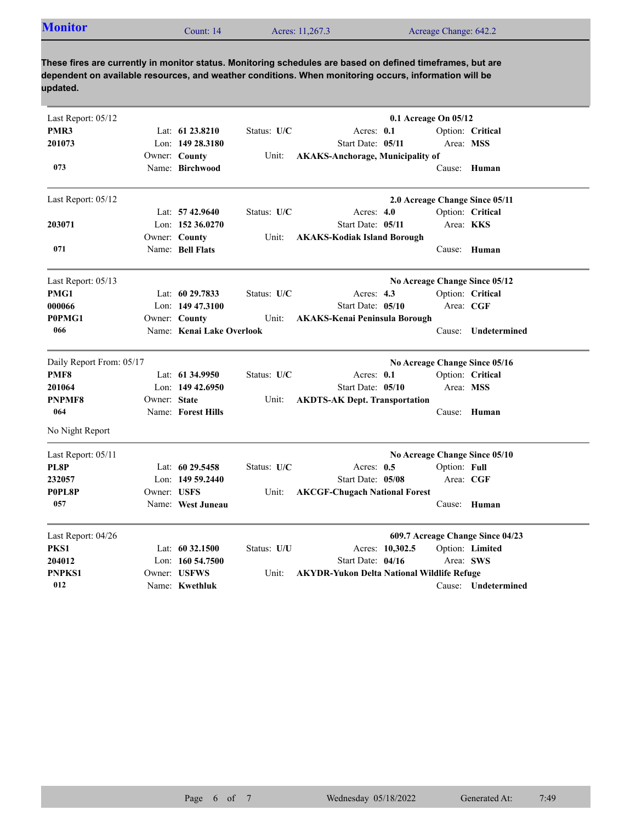| <b>Monitor</b> | Count: 14 | Acres: 11,267.3 | Acreage Change: 642.2 |  |
|----------------|-----------|-----------------|-----------------------|--|

**These fires are currently in monitor status. Monitoring schedules are based on defined timeframes, but are dependent on available resources, and weather conditions. When monitoring occurs, information will be updated.**

| Last Report: 05/12       |              |                           |               |                                                   |                 | 0.1 Acreage On 05/12 |                                  |
|--------------------------|--------------|---------------------------|---------------|---------------------------------------------------|-----------------|----------------------|----------------------------------|
| PMR3                     |              | Lat: 61 23.8210           | Status: U/C   | Acres: 0.1                                        |                 |                      | Option: Critical                 |
| 201073                   |              | Lon: 149 28.3180          |               | Start Date: 05/11                                 |                 | Area: MSS            |                                  |
|                          |              | Owner: County             | Unit:         | <b>AKAKS-Anchorage, Municipality of</b>           |                 |                      |                                  |
| 073                      |              | Name: Birchwood           |               |                                                   |                 |                      | Cause: Human                     |
| Last Report: 05/12       |              |                           |               |                                                   |                 |                      | 2.0 Acreage Change Since 05/11   |
|                          |              | Lat: $57\,42.9640$        | Status: U/C   | Acres: $4.0$                                      |                 |                      | Option: Critical                 |
| 203071                   |              | Lon: 152 36.0270          |               | Start Date: 05/11                                 |                 | Area: <b>KKS</b>     |                                  |
|                          |              | Owner: County             | Unit:         | <b>AKAKS-Kodiak Island Borough</b>                |                 |                      |                                  |
| 071                      |              | Name: Bell Flats          |               |                                                   |                 |                      | Cause: Human                     |
| Last Report: 05/13       |              |                           |               |                                                   |                 |                      | No Acreage Change Since 05/12    |
| PMG1                     |              | Lat: $6029.7833$          | Status: U/C   | Acres: 4.3                                        |                 |                      | Option: Critical                 |
| 000066                   |              | Lon: $14947.3100$         |               | Start Date: 05/10                                 |                 | Area: CGF            |                                  |
| P0PMG1                   |              | Owner: County             | Unit:         | <b>AKAKS-Kenai Peninsula Borough</b>              |                 |                      |                                  |
| 066                      |              | Name: Kenai Lake Overlook |               |                                                   |                 | Cause:               | Undetermined                     |
| Daily Report From: 05/17 |              |                           |               |                                                   |                 |                      | No Acreage Change Since 05/16    |
| PMF8                     |              | Lat: 61 34.9950           | Status: $U/C$ | Acres: $0.1$                                      |                 |                      | Option: Critical                 |
| 201064                   |              | Lon: $14942.6950$         |               | Start Date: 05/10                                 |                 | Area: MSS            |                                  |
| <b>PNPMF8</b>            | Owner: State |                           | Unit:         | <b>AKDTS-AK Dept. Transportation</b>              |                 |                      |                                  |
| 064                      |              | Name: Forest Hills        |               |                                                   |                 |                      | Cause: Human                     |
| No Night Report          |              |                           |               |                                                   |                 |                      |                                  |
| Last Report: 05/11       |              |                           |               |                                                   |                 |                      | No Acreage Change Since 05/10    |
| PL8P                     |              | Lat: $60\,29.5458$        | Status: U/C   | Acres: $0.5$                                      |                 | Option: Full         |                                  |
| 232057                   |              | Lon: $14959.2440$         |               | Start Date: 05/08                                 |                 | Area: CGF            |                                  |
| P0PL8P                   | Owner: USFS  |                           | Unit:         | <b>AKCGF-Chugach National Forest</b>              |                 |                      |                                  |
| 057                      |              | Name: West Juneau         |               |                                                   |                 |                      | Cause: Human                     |
| Last Report: 04/26       |              |                           |               |                                                   |                 |                      | 609.7 Acreage Change Since 04/23 |
| PKS1                     |              | Lat: $60\,32.1500$        | Status: U/U   |                                                   | Acres: 10,302.5 |                      | Option: Limited                  |
| 204012                   |              | Lon: 160 54.7500          |               | Start Date: 04/16                                 |                 | Area: SWS            |                                  |
| <b>PNPKS1</b>            |              | Owner: USFWS              | Unit:         | <b>AKYDR-Yukon Delta National Wildlife Refuge</b> |                 |                      |                                  |
| 012                      |              | Name: Kwethluk            |               |                                                   |                 |                      | Cause: Undetermined              |